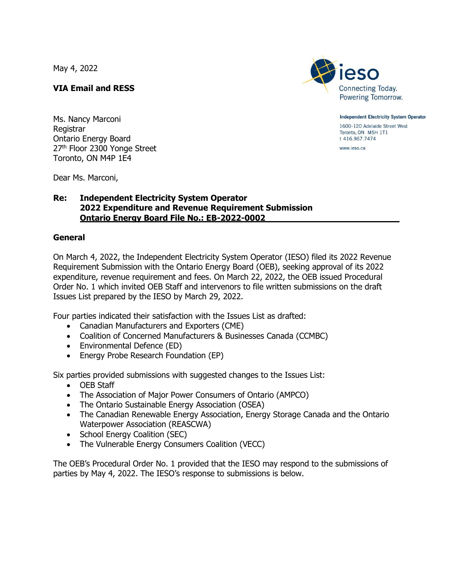May 4, 2022

# **VIA Email and RESS**

Ms. Nancy Marconi Registrar Ontario Energy Board 27<sup>th</sup> Floor 2300 Yonge Street Toronto, ON M4P 1E4

Dear Ms. Marconi,

### **Re: Independent Electricity System Operator 2022 Expenditure and Revenue Requirement Submission Ontario Energy Board File No.: EB-2022-0002**

#### **General**

On March 4, 2022, the Independent Electricity System Operator (IESO) filed its 2022 Revenue Requirement Submission with the Ontario Energy Board (OEB), seeking approval of its 2022 expenditure, revenue requirement and fees. On March 22, 2022, the OEB issued Procedural Order No. 1 which invited OEB Staff and intervenors to file written submissions on the draft Issues List prepared by the IESO by March 29, 2022.

Four parties indicated their satisfaction with the Issues List as drafted:

- Canadian Manufacturers and Exporters (CME)
- Coalition of Concerned Manufacturers & Businesses Canada (CCMBC)
- Environmental Defence (ED)
- Energy Probe Research Foundation (EP)

Six parties provided submissions with suggested changes to the Issues List:

- OEB Staff
- The Association of Major Power Consumers of Ontario (AMPCO)
- The Ontario Sustainable Energy Association (OSEA)
- The Canadian Renewable Energy Association, Energy Storage Canada and the Ontario Waterpower Association (REASCWA)
- School Energy Coalition (SEC)
- The Vulnerable Energy Consumers Coalition (VECC)

The OEB's Procedural Order No. 1 provided that the IESO may respond to the submissions of parties by May 4, 2022. The IESO's response to submissions is below.



**Independent Electricity System Operator** 1600-120 Adelaide Street West Toronto, ON M5H 1T1 t 416.967.7474

www.ieso.ca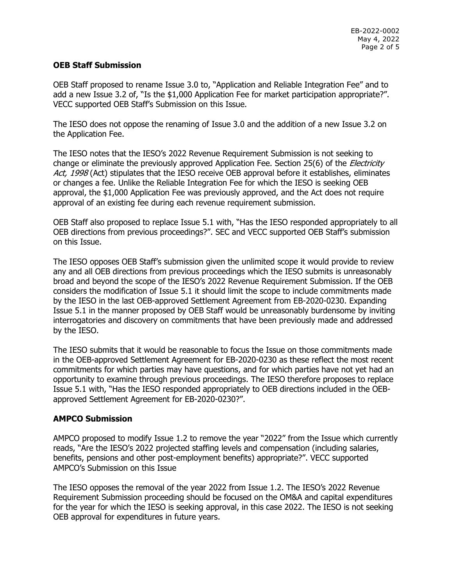### **OEB Staff Submission**

OEB Staff proposed to rename Issue 3.0 to, "Application and Reliable Integration Fee" and to add a new Issue 3.2 of, "Is the \$1,000 Application Fee for market participation appropriate?". VECC supported OEB Staff's Submission on this Issue.

The IESO does not oppose the renaming of Issue 3.0 and the addition of a new Issue 3.2 on the Application Fee.

The IESO notes that the IESO's 2022 Revenue Requirement Submission is not seeking to change or eliminate the previously approved Application Fee. Section 25(6) of the *Electricity* Act, 1998 (Act) stipulates that the IESO receive OEB approval before it establishes, eliminates or changes a fee. Unlike the Reliable Integration Fee for which the IESO is seeking OEB approval, the \$1,000 Application Fee was previously approved, and the Act does not require approval of an existing fee during each revenue requirement submission.

OEB Staff also proposed to replace Issue 5.1 with, "Has the IESO responded appropriately to all OEB directions from previous proceedings?". SEC and VECC supported OEB Staff's submission on this Issue.

The IESO opposes OEB Staff's submission given the unlimited scope it would provide to review any and all OEB directions from previous proceedings which the IESO submits is unreasonably broad and beyond the scope of the IESO's 2022 Revenue Requirement Submission. If the OEB considers the modification of Issue 5.1 it should limit the scope to include commitments made by the IESO in the last OEB-approved Settlement Agreement from EB-2020-0230. Expanding Issue 5.1 in the manner proposed by OEB Staff would be unreasonably burdensome by inviting interrogatories and discovery on commitments that have been previously made and addressed by the IESO.

The IESO submits that it would be reasonable to focus the Issue on those commitments made in the OEB-approved Settlement Agreement for EB-2020-0230 as these reflect the most recent commitments for which parties may have questions, and for which parties have not yet had an opportunity to examine through previous proceedings. The IESO therefore proposes to replace Issue 5.1 with, "Has the IESO responded appropriately to OEB directions included in the OEBapproved Settlement Agreement for EB-2020-0230?".

#### **AMPCO Submission**

AMPCO proposed to modify Issue 1.2 to remove the year "2022" from the Issue which currently reads, "Are the IESO's 2022 projected staffing levels and compensation (including salaries, benefits, pensions and other post-employment benefits) appropriate?". VECC supported AMPCO's Submission on this Issue

The IESO opposes the removal of the year 2022 from Issue 1.2. The IESO's 2022 Revenue Requirement Submission proceeding should be focused on the OM&A and capital expenditures for the year for which the IESO is seeking approval, in this case 2022. The IESO is not seeking OEB approval for expenditures in future years.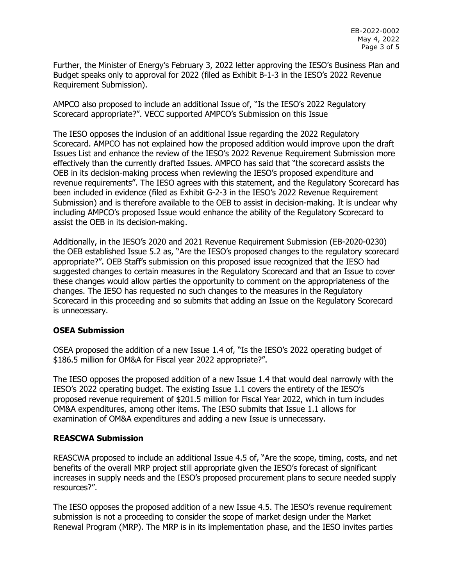Further, the Minister of Energy's February 3, 2022 letter approving the IESO's Business Plan and Budget speaks only to approval for 2022 (filed as Exhibit B-1-3 in the IESO's 2022 Revenue Requirement Submission).

AMPCO also proposed to include an additional Issue of, "Is the IESO's 2022 Regulatory Scorecard appropriate?". VECC supported AMPCO's Submission on this Issue

The IESO opposes the inclusion of an additional Issue regarding the 2022 Regulatory Scorecard. AMPCO has not explained how the proposed addition would improve upon the draft Issues List and enhance the review of the IESO's 2022 Revenue Requirement Submission more effectively than the currently drafted Issues. AMPCO has said that "the scorecard assists the OEB in its decision-making process when reviewing the IESO's proposed expenditure and revenue requirements". The IESO agrees with this statement, and the Regulatory Scorecard has been included in evidence (filed as Exhibit G-2-3 in the IESO's 2022 Revenue Requirement Submission) and is therefore available to the OEB to assist in decision-making. It is unclear why including AMPCO's proposed Issue would enhance the ability of the Regulatory Scorecard to assist the OEB in its decision-making.

Additionally, in the IESO's 2020 and 2021 Revenue Requirement Submission (EB-2020-0230) the OEB established Issue 5.2 as, "Are the IESO's proposed changes to the regulatory scorecard appropriate?". OEB Staff's submission on this proposed issue recognized that the IESO had suggested changes to certain measures in the Regulatory Scorecard and that an Issue to cover these changes would allow parties the opportunity to comment on the appropriateness of the changes. The IESO has requested no such changes to the measures in the Regulatory Scorecard in this proceeding and so submits that adding an Issue on the Regulatory Scorecard is unnecessary.

#### **OSEA Submission**

OSEA proposed the addition of a new Issue 1.4 of, "Is the IESO's 2022 operating budget of \$186.5 million for OM&A for Fiscal year 2022 appropriate?".

The IESO opposes the proposed addition of a new Issue 1.4 that would deal narrowly with the IESO's 2022 operating budget. The existing Issue 1.1 covers the entirety of the IESO's proposed revenue requirement of \$201.5 million for Fiscal Year 2022, which in turn includes OM&A expenditures, among other items. The IESO submits that Issue 1.1 allows for examination of OM&A expenditures and adding a new Issue is unnecessary.

## **REASCWA Submission**

REASCWA proposed to include an additional Issue 4.5 of, "Are the scope, timing, costs, and net benefits of the overall MRP project still appropriate given the IESO's forecast of significant increases in supply needs and the IESO's proposed procurement plans to secure needed supply resources?".

The IESO opposes the proposed addition of a new Issue 4.5. The IESO's revenue requirement submission is not a proceeding to consider the scope of market design under the Market Renewal Program (MRP). The MRP is in its implementation phase, and the IESO invites parties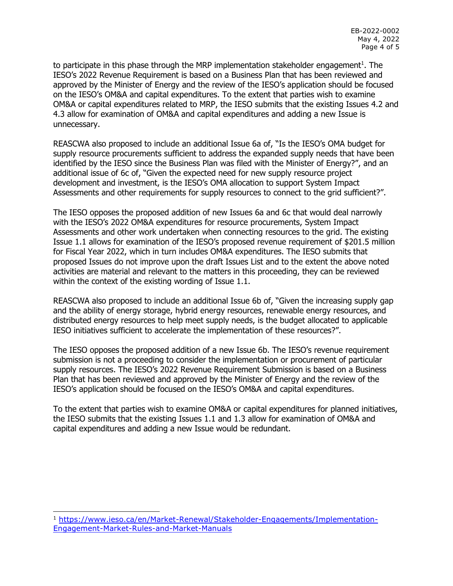to participate in this phase through the MRP implementation stakeholder engagement<sup>1</sup>. The IESO's 2022 Revenue Requirement is based on a Business Plan that has been reviewed and approved by the Minister of Energy and the review of the IESO's application should be focused on the IESO's OM&A and capital expenditures. To the extent that parties wish to examine OM&A or capital expenditures related to MRP, the IESO submits that the existing Issues 4.2 and 4.3 allow for examination of OM&A and capital expenditures and adding a new Issue is unnecessary.

REASCWA also proposed to include an additional Issue 6a of, "Is the IESO's OMA budget for supply resource procurements sufficient to address the expanded supply needs that have been identified by the IESO since the Business Plan was filed with the Minister of Energy?", and an additional issue of 6c of, "Given the expected need for new supply resource project development and investment, is the IESO's OMA allocation to support System Impact Assessments and other requirements for supply resources to connect to the grid sufficient?".

The IESO opposes the proposed addition of new Issues 6a and 6c that would deal narrowly with the IESO's 2022 OM&A expenditures for resource procurements, System Impact Assessments and other work undertaken when connecting resources to the grid. The existing Issue 1.1 allows for examination of the IESO's proposed revenue requirement of \$201.5 million for Fiscal Year 2022, which in turn includes OM&A expenditures. The IESO submits that proposed Issues do not improve upon the draft Issues List and to the extent the above noted activities are material and relevant to the matters in this proceeding, they can be reviewed within the context of the existing wording of Issue 1.1.

REASCWA also proposed to include an additional Issue 6b of, "Given the increasing supply gap and the ability of energy storage, hybrid energy resources, renewable energy resources, and distributed energy resources to help meet supply needs, is the budget allocated to applicable IESO initiatives sufficient to accelerate the implementation of these resources?".

The IESO opposes the proposed addition of a new Issue 6b. The IESO's revenue requirement submission is not a proceeding to consider the implementation or procurement of particular supply resources. The IESO's 2022 Revenue Requirement Submission is based on a Business Plan that has been reviewed and approved by the Minister of Energy and the review of the IESO's application should be focused on the IESO's OM&A and capital expenditures.

To the extent that parties wish to examine OM&A or capital expenditures for planned initiatives, the IESO submits that the existing Issues 1.1 and 1.3 allow for examination of OM&A and capital expenditures and adding a new Issue would be redundant.

ł

<sup>1</sup> [https://www.ieso.ca/en/Market-Renewal/Stakeholder-Engagements/Implementation-](https://www.ieso.ca/en/Market-Renewal/Stakeholder-Engagements/Implementation-Engagement-Market-Rules-and-Market-Manuals)[Engagement-Market-Rules-and-Market-Manuals](https://www.ieso.ca/en/Market-Renewal/Stakeholder-Engagements/Implementation-Engagement-Market-Rules-and-Market-Manuals)